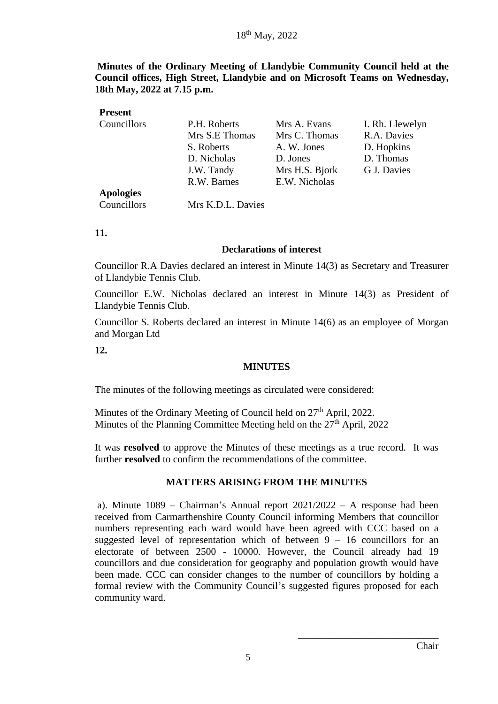**Minutes of the Ordinary Meeting of Llandybie Community Council held at the Council offices, High Street, Llandybie and on Microsoft Teams on Wednesday, 18th May, 2022 at 7.15 p.m.**

| <b>Present</b>   |                   |                |                 |
|------------------|-------------------|----------------|-----------------|
| Councillors      | P.H. Roberts      | Mrs A. Evans   | I. Rh. Llewelyn |
|                  | Mrs S.E Thomas    | Mrs C. Thomas  | R.A. Davies     |
|                  | S. Roberts        | A. W. Jones    | D. Hopkins      |
|                  | D. Nicholas       | D. Jones       | D. Thomas       |
|                  | J.W. Tandy        | Mrs H.S. Bjork | G J. Davies     |
|                  | R.W. Barnes       | E.W. Nicholas  |                 |
| <b>Apologies</b> |                   |                |                 |
| Councillors      | Mrs K.D.L. Davies |                |                 |

**11.** 

#### **Declarations of interest**

Councillor R.A Davies declared an interest in Minute 14(3) as Secretary and Treasurer of Llandybie Tennis Club.

Councillor E.W. Nicholas declared an interest in Minute 14(3) as President of Llandybie Tennis Club.

Councillor S. Roberts declared an interest in Minute 14(6) as an employee of Morgan and Morgan Ltd

**12.**

#### **MINUTES**

The minutes of the following meetings as circulated were considered:

Minutes of the Ordinary Meeting of Council held on 27<sup>th</sup> April, 2022. Minutes of the Planning Committee Meeting held on the 27<sup>th</sup> April, 2022

It was **resolved** to approve the Minutes of these meetings as a true record. It was further **resolved** to confirm the recommendations of the committee.

#### **MATTERS ARISING FROM THE MINUTES**

a). Minute 1089 – Chairman's Annual report 2021/2022 – A response had been received from Carmarthenshire County Council informing Members that councillor numbers representing each ward would have been agreed with CCC based on a suggested level of representation which of between  $9 - 16$  councillors for an electorate of between 2500 - 10000. However, the Council already had 19 councillors and due consideration for geography and population growth would have been made. CCC can consider changes to the number of councillors by holding a formal review with the Community Council's suggested figures proposed for each community ward.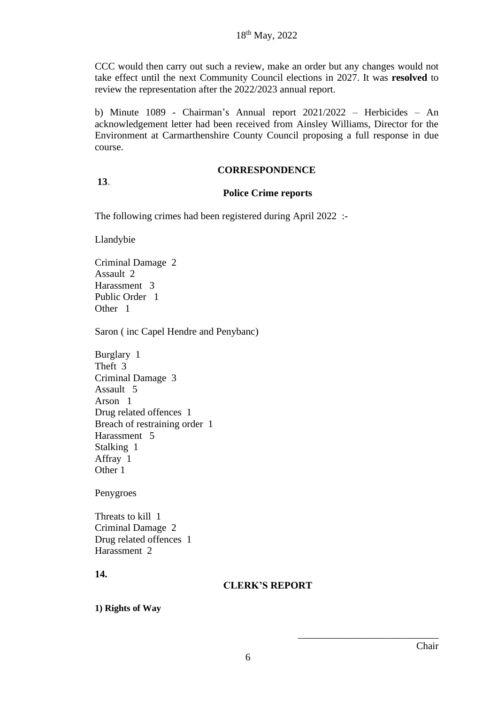CCC would then carry out such a review, make an order but any changes would not take effect until the next Community Council elections in 2027. It was **resolved** to review the representation after the 2022/2023 annual report.

b) Minute 1089 - Chairman's Annual report 2021/2022 – Herbicides – An acknowledgement letter had been received from Ainsley Williams, Director for the Environment at Carmarthenshire County Council proposing a full response in due course.

#### **CORRESPONDENCE**

### **13**.

#### **Police Crime reports**

The following crimes had been registered during April 2022 :-

Llandybie

Criminal Damage 2 Assault 2 Harassment 3 Public Order 1 Other 1

Saron ( inc Capel Hendre and Penybanc)

Burglary 1 Theft 3 Criminal Damage 3 Assault 5 Arson 1 Drug related offences 1 Breach of restraining order 1 Harassment 5 Stalking 1 Affray 1 Other 1

Penygroes

Threats to kill 1 Criminal Damage 2 Drug related offences 1 Harassment 2

**14.**

#### **CLERK'S REPORT**

**1) Rights of Way**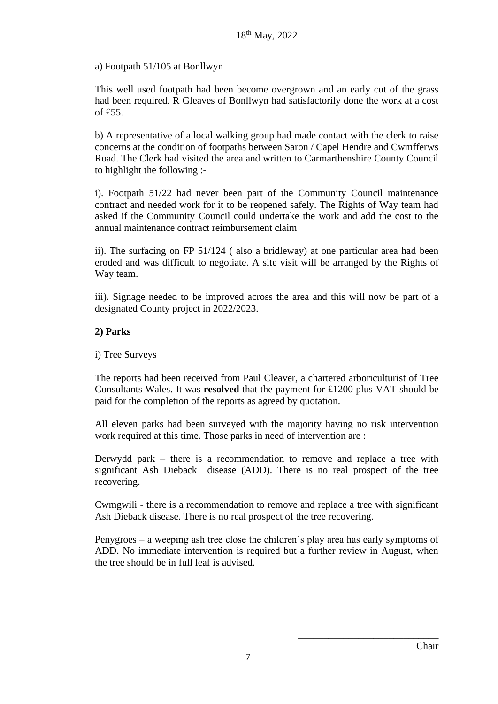a) Footpath 51/105 at Bonllwyn

This well used footpath had been become overgrown and an early cut of the grass had been required. R Gleaves of Bonllwyn had satisfactorily done the work at a cost of £55.

b) A representative of a local walking group had made contact with the clerk to raise concerns at the condition of footpaths between Saron / Capel Hendre and Cwmfferws Road. The Clerk had visited the area and written to Carmarthenshire County Council to highlight the following :-

i). Footpath 51/22 had never been part of the Community Council maintenance contract and needed work for it to be reopened safely. The Rights of Way team had asked if the Community Council could undertake the work and add the cost to the annual maintenance contract reimbursement claim

ii). The surfacing on FP 51/124 ( also a bridleway) at one particular area had been eroded and was difficult to negotiate. A site visit will be arranged by the Rights of Way team.

iii). Signage needed to be improved across the area and this will now be part of a designated County project in 2022/2023.

# **2) Parks**

i) Tree Surveys

The reports had been received from Paul Cleaver, a chartered arboriculturist of Tree Consultants Wales. It was **resolved** that the payment for £1200 plus VAT should be paid for the completion of the reports as agreed by quotation.

All eleven parks had been surveyed with the majority having no risk intervention work required at this time. Those parks in need of intervention are :

Derwydd park – there is a recommendation to remove and replace a tree with significant Ash Dieback disease (ADD). There is no real prospect of the tree recovering.

Cwmgwili - there is a recommendation to remove and replace a tree with significant Ash Dieback disease. There is no real prospect of the tree recovering.

Penygroes – a weeping ash tree close the children's play area has early symptoms of ADD. No immediate intervention is required but a further review in August, when the tree should be in full leaf is advised.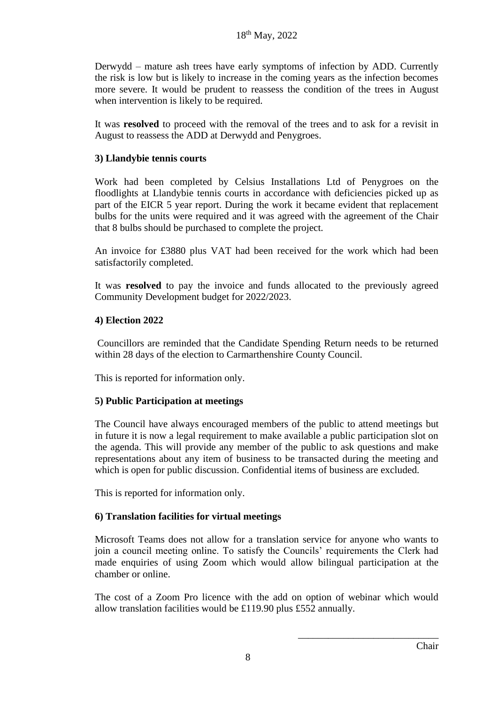Derwydd – mature ash trees have early symptoms of infection by ADD. Currently the risk is low but is likely to increase in the coming years as the infection becomes more severe. It would be prudent to reassess the condition of the trees in August when intervention is likely to be required.

It was **resolved** to proceed with the removal of the trees and to ask for a revisit in August to reassess the ADD at Derwydd and Penygroes.

## **3) Llandybie tennis courts**

Work had been completed by Celsius Installations Ltd of Penygroes on the floodlights at Llandybie tennis courts in accordance with deficiencies picked up as part of the EICR 5 year report. During the work it became evident that replacement bulbs for the units were required and it was agreed with the agreement of the Chair that 8 bulbs should be purchased to complete the project.

An invoice for £3880 plus VAT had been received for the work which had been satisfactorily completed.

It was **resolved** to pay the invoice and funds allocated to the previously agreed Community Development budget for 2022/2023.

### **4) Election 2022**

Councillors are reminded that the Candidate Spending Return needs to be returned within 28 days of the election to Carmarthenshire County Council.

This is reported for information only.

# **5) Public Participation at meetings**

The Council have always encouraged members of the public to attend meetings but in future it is now a legal requirement to make available a public participation slot on the agenda. This will provide any member of the public to ask questions and make representations about any item of business to be transacted during the meeting and which is open for public discussion. Confidential items of business are excluded.

This is reported for information only.

# **6) Translation facilities for virtual meetings**

Microsoft Teams does not allow for a translation service for anyone who wants to join a council meeting online. To satisfy the Councils' requirements the Clerk had made enquiries of using Zoom which would allow bilingual participation at the chamber or online.

The cost of a Zoom Pro licence with the add on option of webinar which would allow translation facilities would be £119.90 plus £552 annually.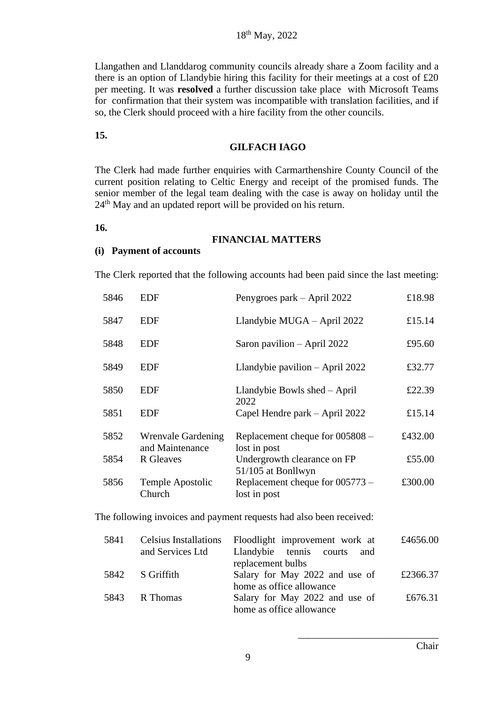Llangathen and Llanddarog community councils already share a Zoom facility and a there is an option of Llandybie hiring this facility for their meetings at a cost of £20 per meeting. It was **resolved** a further discussion take place with Microsoft Teams for confirmation that their system was incompatible with translation facilities, and if so, the Clerk should proceed with a hire facility from the other councils.

**15.**

#### **GILFACH IAGO**

The Clerk had made further enquiries with Carmarthenshire County Council of the current position relating to Celtic Energy and receipt of the promised funds. The senior member of the legal team dealing with the case is away on holiday until the 24<sup>th</sup> May and an updated report will be provided on his return.

**16.**

#### **FINANCIAL MATTERS**

#### **(i) Payment of accounts**

The Clerk reported that the following accounts had been paid since the last meeting:

| 5846                                                                | EDF                                   | Penygroes park – April 2022                       | £18.98  |
|---------------------------------------------------------------------|---------------------------------------|---------------------------------------------------|---------|
| 5847                                                                | <b>EDF</b>                            | Llandybie MUGA - April 2022                       | £15.14  |
| 5848                                                                | <b>EDF</b>                            | Saron pavilion – April 2022                       | £95.60  |
| 5849                                                                | <b>EDF</b>                            | Llandybie pavilion $-$ April 2022                 | £32.77  |
| 5850                                                                | <b>EDF</b>                            | Llandybie Bowls shed – April<br>2022              | £22.39  |
| 5851                                                                | <b>EDF</b>                            | Capel Hendre park – April 2022                    | £15.14  |
| 5852                                                                | Wrenvale Gardening<br>and Maintenance | Replacement cheque for 005808 -<br>lost in post   | £432.00 |
| 5854                                                                | R Gleaves                             | Undergrowth clearance on FP<br>51/105 at Bonllwyn | £55.00  |
| 5856                                                                | Temple Apostolic<br>Church            | Replacement cheque for 005773 -<br>lost in post   | £300.00 |
| The following invoices and payment requests had also been received: |                                       |                                                   |         |

| 5841 | <b>Celsius Installations</b> | Floodlight improvement work at | £4656.00 |
|------|------------------------------|--------------------------------|----------|
|      | and Services Ltd             | Llandybie tennis courts<br>and |          |
|      |                              | replacement bulbs              |          |
| 5842 | S Griffith                   | Salary for May 2022 and use of | £2366.37 |
|      |                              | home as office allowance       |          |
|      | 5843 R Thomas                | Salary for May 2022 and use of | £676.31  |
|      |                              | home as office allowance       |          |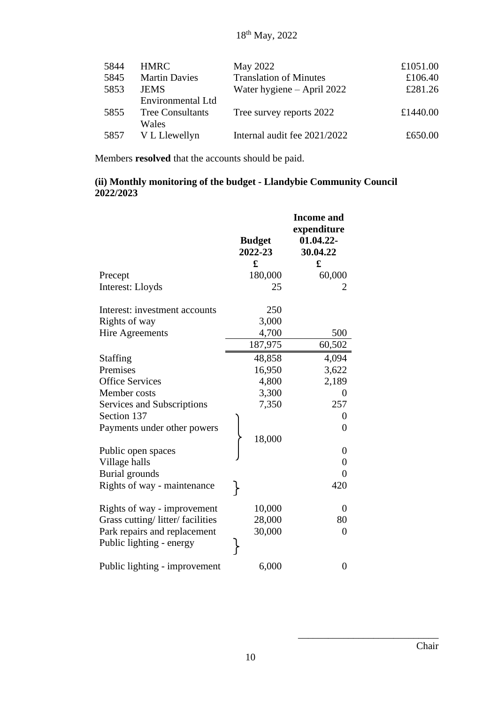| 5844 | <b>HMRC</b>             | May 2022                      | £1051.00 |
|------|-------------------------|-------------------------------|----------|
| 5845 | <b>Martin Davies</b>    | <b>Translation of Minutes</b> | £106.40  |
| 5853 | <b>JEMS</b>             | Water hygiene $-$ April 2022  | £281.26  |
|      | Environmental Ltd       |                               |          |
| 5855 | <b>Tree Consultants</b> | Tree survey reports 2022      | £1440.00 |
|      | Wales                   |                               |          |
| 5857 | V L Llewellyn           | Internal audit fee 2021/2022  | £650.00  |

Members **resolved** that the accounts should be paid.

# **(ii) Monthly monitoring of the budget - Llandybie Community Council 2022/2023**

|                                 | <b>Budget</b><br>2022-23 | <b>Income</b> and<br>expenditure<br>01.04.22-<br>30.04.22 |
|---------------------------------|--------------------------|-----------------------------------------------------------|
|                                 | £                        | £                                                         |
| Precept<br>Interest: Lloyds     | 180,000<br>25            | 60,000                                                    |
| Interest: investment accounts   | 250                      |                                                           |
| Rights of way                   | 3,000                    |                                                           |
| <b>Hire Agreements</b>          | 4,700                    | 500                                                       |
|                                 | 187,975                  | 60,502                                                    |
| <b>Staffing</b>                 | 48,858                   | 4,094                                                     |
| Premises                        | 16,950                   | 3,622                                                     |
| <b>Office Services</b>          | 4,800                    | 2,189                                                     |
| Member costs                    | 3,300                    | 0                                                         |
| Services and Subscriptions      | 7,350                    | 257                                                       |
| Section 137                     |                          | 0                                                         |
| Payments under other powers     |                          | 0                                                         |
|                                 | 18,000                   |                                                           |
| Public open spaces              |                          | $\overline{0}$                                            |
| Village halls                   |                          | $\overline{0}$                                            |
| Burial grounds                  |                          | $\overline{0}$                                            |
| Rights of way - maintenance     |                          | 420                                                       |
| Rights of way - improvement     | 10,000                   | $\overline{0}$                                            |
| Grass cutting/litter/facilities | 28,000                   | 80                                                        |
| Park repairs and replacement    | 30,000                   | 0                                                         |
| Public lighting - energy        |                          |                                                           |
| Public lighting - improvement   | 6,000                    | 0                                                         |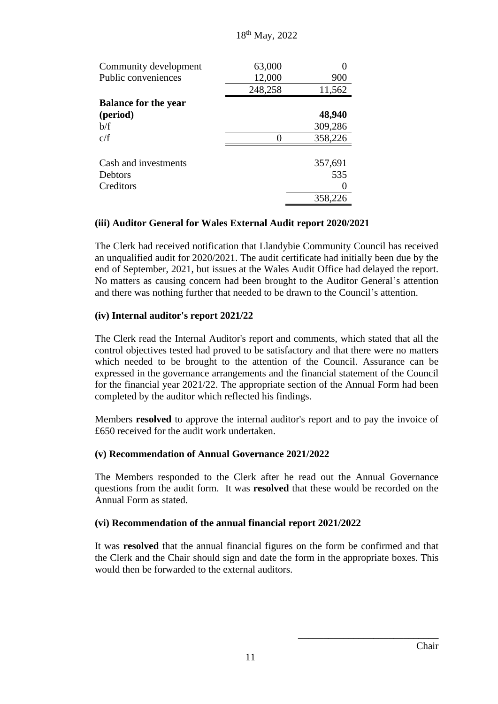| Community development       | 63,000  |         |
|-----------------------------|---------|---------|
| Public conveniences         | 12,000  | 900     |
|                             | 248,258 | 11,562  |
| <b>Balance for the year</b> |         |         |
| (period)                    |         | 48,940  |
| b/f                         |         | 309,286 |
| c/f                         |         | 358,226 |
|                             |         |         |
| Cash and investments        |         | 357,691 |
| Debtors                     |         | 535     |
| Creditors                   |         |         |
|                             |         | 358,226 |

### **(iii) Auditor General for Wales External Audit report 2020/2021**

The Clerk had received notification that Llandybie Community Council has received an unqualified audit for 2020/2021. The audit certificate had initially been due by the end of September, 2021, but issues at the Wales Audit Office had delayed the report. No matters as causing concern had been brought to the Auditor General's attention and there was nothing further that needed to be drawn to the Council's attention.

### **(iv) Internal auditor's report 2021/22**

The Clerk read the Internal Auditor's report and comments, which stated that all the control objectives tested had proved to be satisfactory and that there were no matters which needed to be brought to the attention of the Council. Assurance can be expressed in the governance arrangements and the financial statement of the Council for the financial year 2021/22. The appropriate section of the Annual Form had been completed by the auditor which reflected his findings.

Members **resolved** to approve the internal auditor's report and to pay the invoice of £650 received for the audit work undertaken.

# **(v) Recommendation of Annual Governance 2021/2022**

The Members responded to the Clerk after he read out the Annual Governance questions from the audit form. It was **resolved** that these would be recorded on the Annual Form as stated.

#### **(vi) Recommendation of the annual financial report 2021/2022**

It was **resolved** that the annual financial figures on the form be confirmed and that the Clerk and the Chair should sign and date the form in the appropriate boxes. This would then be forwarded to the external auditors.